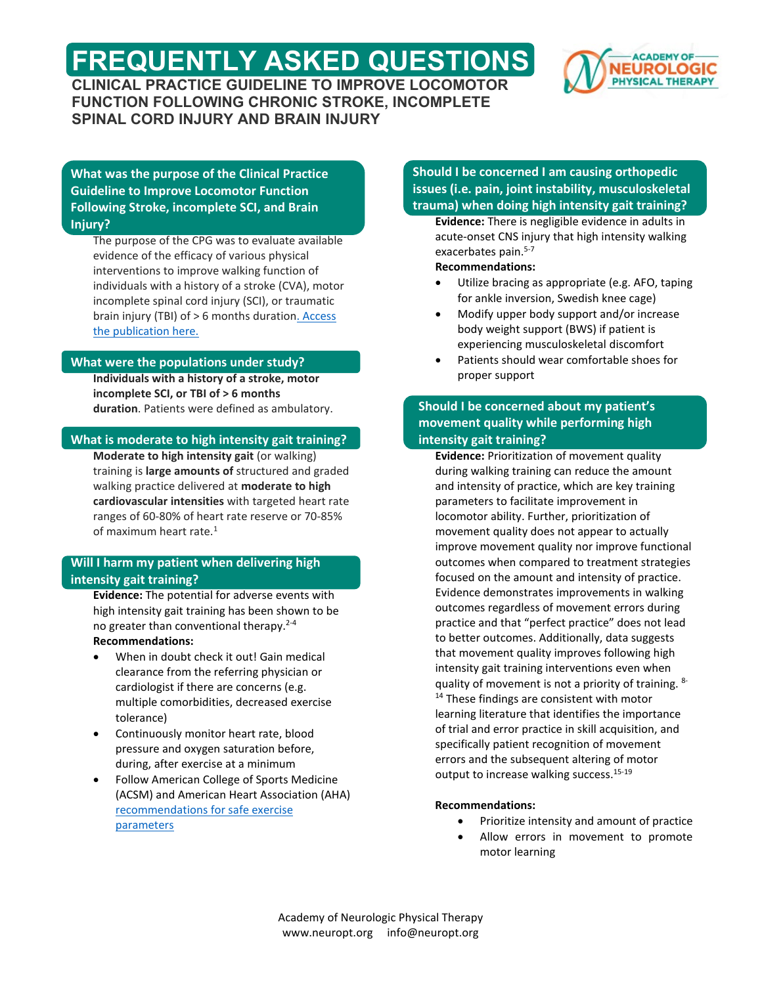# **FREQUENTLY ASKED QUESTIONS CLINICAL PRACTICE GUIDELINE TO IMPROVE LOCOMOTOR**



**FUNCTION FOLLOWING CHRONIC STROKE, INCOMPLETE SPINAL CORD INJURY AND BRAIN INJURY**

**What was the purpose of the Clinical Practice Guideline to Improve Locomotor Function Following Stroke, incomplete SCI, and Brain Injury?**

The purpose of the CPG was to evaluate available evidence of the efficacy of various physical interventions to improve walking function of individuals with a history of a stroke (CVA), motor incomplete spinal cord injury (SCI), or traumatic brain injury (TBI) of > 6 months duratio[n. Access](https://journals.lww.com/jnpt/Fulltext/2020/01000/Clinical_Practice_Guideline_to_Improve_Locomotor.8.aspx)  [the publication here.](https://journals.lww.com/jnpt/Fulltext/2020/01000/Clinical_Practice_Guideline_to_Improve_Locomotor.8.aspx)

# **What were the populations under study?**

**Individuals with a history of a stroke, motor incomplete SCI, or TBI of > 6 months duration**. Patients were defined as ambulatory.

#### **What is moderate to high intensity gait training?**

**Moderate to high intensity gait** (or walking) training is **large amounts of** structured and graded walking practice delivered at **moderate to high cardiovascular intensities** with targeted heart rate ranges of 60-80% of heart rate reserve or 70-85% of maximum heart rate.<sup>1</sup>

### **Will I harm my patient when delivering high intensity gait training?**

**Evidence:** The potential for adverse events with high intensity gait training has been shown to be no greater than conventional therapy.<sup>2-4</sup>

#### **Recommendations:**

- When in doubt check it out! Gain medical clearance from the referring physician or cardiologist if there are concerns (e.g. multiple comorbidities, decreased exercise tolerance)
- Continuously monitor heart rate, blood pressure and oxygen saturation before, during, after exercise at a minimum
- Follow American College of Sports Medicine (ACSM) and American Heart Association (AHA) [recommendations for safe exercise](https://neuropt.org/docs/default-source/cpgs/locomotor/vital-signs-parameters_final167a38a5390366a68a96ff00001fc240.pdf?sfvrsn=d6795e43_0)  [parameters](https://neuropt.org/docs/default-source/cpgs/locomotor/vital-signs-parameters_final167a38a5390366a68a96ff00001fc240.pdf?sfvrsn=d6795e43_0)

# **Should I be concerned I am causing orthopedic issues (i.e. pain, joint instability, musculoskeletal trauma) when doing high intensity gait training?**

**Evidence:** There is negligible evidence in adults in acute-onset CNS injury that high intensity walking exacerbates pain.<sup>5-7</sup>

**Recommendations:**

- Utilize bracing as appropriate (e.g. AFO, taping for ankle inversion, Swedish knee cage)
- Modify upper body support and/or increase body weight support (BWS) if patient is experiencing musculoskeletal discomfort
- Patients should wear comfortable shoes for proper support

# **Should I be concerned about my patient's movement quality while performing high intensity gait training?**

**Evidence:** Prioritization of movement quality during walking training can reduce the amount and intensity of practice, which are key training parameters to facilitate improvement in locomotor ability. Further, prioritization of movement quality does not appear to actually improve movement quality nor improve functional outcomes when compared to treatment strategies focused on the amount and intensity of practice. Evidence demonstrates improvements in walking outcomes regardless of movement errors during practice and that "perfect practice" does not lead to better outcomes. Additionally, data suggests that movement quality improves following high intensity gait training interventions even when quality of movement is not a priority of training. 8-<sup>14</sup> These findings are consistent with motor learning literature that identifies the importance of trial and error practice in skill acquisition, and specifically patient recognition of movement errors and the subsequent altering of motor output to increase walking success.<sup>15-19</sup>

#### **Recommendations:**

- Prioritize intensity and amount of practice
- Allow errors in movement to promote motor learning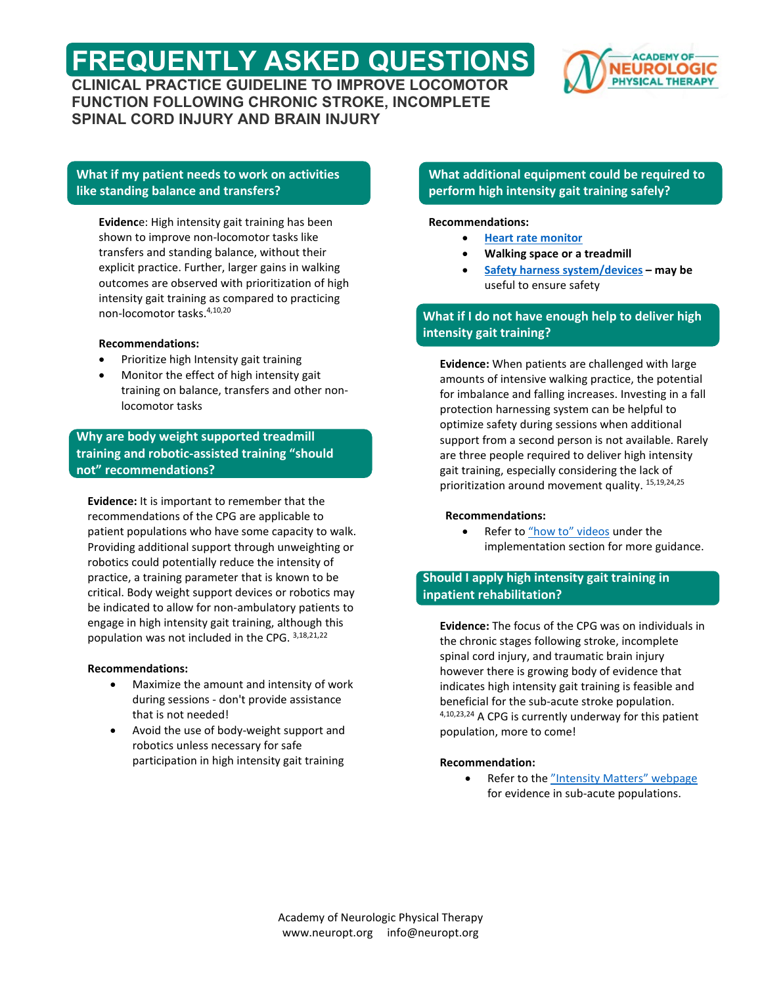# **FREQUENTLY ASKED QUESTIONS CLINICAL PRACTICE GUIDELINE TO IMPROVE LOCOMOTOR**



**FUNCTION FOLLOWING CHRONIC STROKE, INCOMPLETE SPINAL CORD INJURY AND BRAIN INJURY**

# **What if my patient needs to work on activities like standing balance and transfers?**

**Evidenc**e: High intensity gait training has been shown to improve non-locomotor tasks like transfers and standing balance, without their explicit practice. Further, larger gains in walking outcomes are observed with prioritization of high intensity gait training as compared to practicing non-locomotor tasks.4,10,20

#### **Recommendations:**

- Prioritize high Intensity gait training
- Monitor the effect of high intensity gait training on balance, transfers and other nonlocomotor tasks

**Why are body weight supported treadmill training and robotic-assisted training "should not" recommendations?**

**Evidence:** It is important to remember that the recommendations of the CPG are applicable to patient populations who have some capacity to walk. Providing additional support through unweighting or robotics could potentially reduce the intensity of practice, a training parameter that is known to be critical. Body weight support devices or robotics may be indicated to allow for non-ambulatory patients to engage in high intensity gait training, although this population was not included in the CPG. 3,18,21,22

#### **Recommendations:**

- Maximize the amount and intensity of work during sessions - don't provide assistance that is not needed!
- Avoid the use of body-weight support and robotics unless necessary for safe participation in high intensity gait training

# **What additional equipment could be required to perform high intensity gait training safely?**

#### **Recommendations:**

- **[Heart rate monitor](https://www.neuropt.org/docs/default-source/cpgs/locomotor/continuous-heart-rate-monitoring-device-choicesbea038a5390366a68a96ff00001fc240.pdf?sfvrsn=7ea35e43_0)**
- **Walking space or a treadmill**
- **[Safety harness system/devices](https://neuropt.org/docs/default-source/cpgs/locomotor/unweighting-system-and-harness-options.pdf?sfvrsn=77625e43_0)  may be** useful to ensure safety

# **What if I do not have enough help to deliver high intensity gait training?**

**Evidence:** When patients are challenged with large amounts of intensive walking practice, the potential for imbalance and falling increases. Investing in a fall protection harnessing system can be helpful to optimize safety during sessions when additional support from a second person is not available. Rarely are three people required to deliver high intensity gait training, especially considering the lack of prioritization around movement quality. 15,19,24,25

#### **Recommendations:**

• Refer t[o "how to" videos](https://neuropt.org/practice-resources/anpt-clinical-practice-guidelines/locomotor-cpg/Reducing-Barriers/self_efficacy) under the implementation section for more guidance.

# **Should I apply high intensity gait training in inpatient rehabilitation?**

**Evidence:** The focus of the CPG was on individuals in the chronic stages following stroke, incomplete spinal cord injury, and traumatic brain injury however there is growing body of evidence that indicates high intensity gait training is feasible and beneficial for the sub-acute stroke population. 4,10,23,24 A CPG is currently underway for this patient population, more to come!

#### **Recommendation:**

Refer to the ["Intensity Matters" webpage](https://neuropt.org/practice-resources/locomotor) for evidence in sub-acute populations.